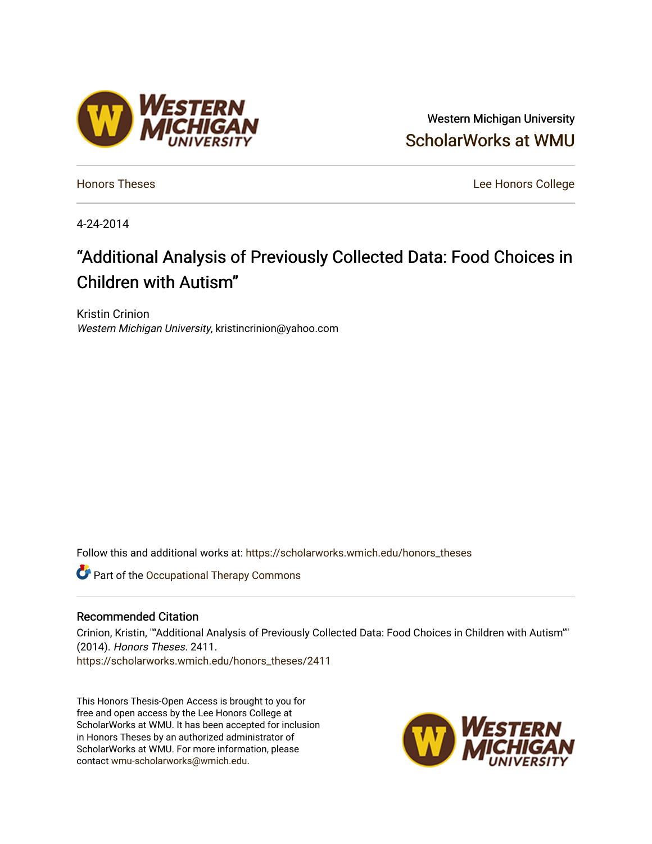## Western Michigan University [ScholarWorks at WMU](https://scholarworks.wmich.edu/)

[Honors Theses](https://scholarworks.wmich.edu/honors_theses) [Lee Honors College](https://scholarworks.wmich.edu/honors) 

4-24-2014

# "Additional Analysis of Previously Collected Data: Food Choices in Children with Autism"

Kristin Crinion Western Michigan University, kristincrinion@yahoo.com

Follow this and additional works at: [https://scholarworks.wmich.edu/honors\\_theses](https://scholarworks.wmich.edu/honors_theses?utm_source=scholarworks.wmich.edu%2Fhonors_theses%2F2411&utm_medium=PDF&utm_campaign=PDFCoverPages)

Part of the [Occupational Therapy Commons](http://network.bepress.com/hgg/discipline/752?utm_source=scholarworks.wmich.edu%2Fhonors_theses%2F2411&utm_medium=PDF&utm_campaign=PDFCoverPages) 

#### Recommended Citation

Crinion, Kristin, ""Additional Analysis of Previously Collected Data: Food Choices in Children with Autism"" (2014). Honors Theses. 2411. [https://scholarworks.wmich.edu/honors\\_theses/2411](https://scholarworks.wmich.edu/honors_theses/2411?utm_source=scholarworks.wmich.edu%2Fhonors_theses%2F2411&utm_medium=PDF&utm_campaign=PDFCoverPages) 

This Honors Thesis-Open Access is brought to you for free and open access by the Lee Honors College at ScholarWorks at WMU. It has been accepted for inclusion in Honors Theses by an authorized administrator of ScholarWorks at WMU. For more information, please contact [wmu-scholarworks@wmich.edu](mailto:wmu-scholarworks@wmich.edu).



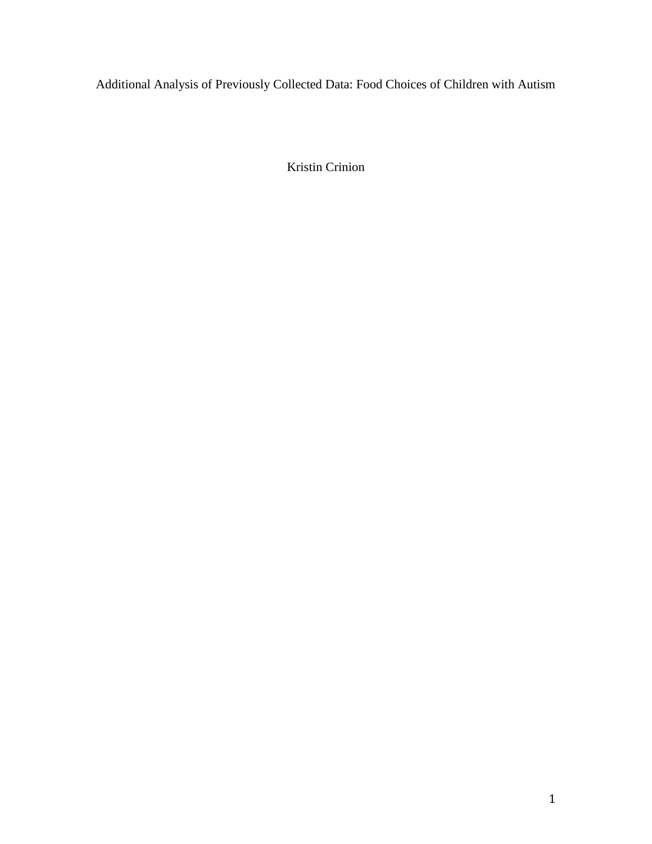Additional Analysis of Previously Collected Data: Food Choices of Children with Autism

Kristin Crinion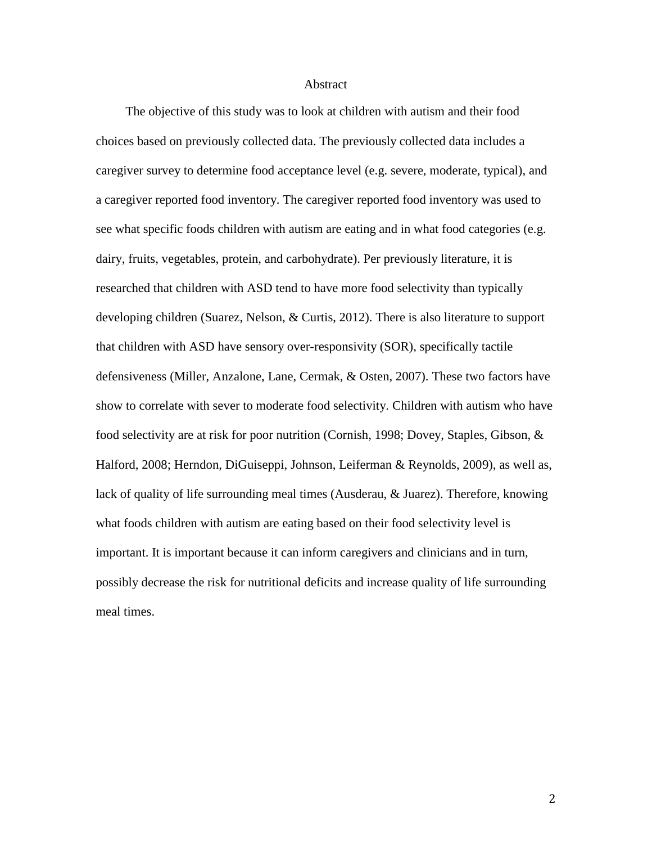#### Abstract

The objective of this study was to look at children with autism and their food choices based on previously collected data. The previously collected data includes a caregiver survey to determine food acceptance level (e.g. severe, moderate, typical), and a caregiver reported food inventory. The caregiver reported food inventory was used to see what specific foods children with autism are eating and in what food categories (e.g. dairy, fruits, vegetables, protein, and carbohydrate). Per previously literature, it is researched that children with ASD tend to have more food selectivity than typically developing children (Suarez, Nelson, & Curtis, 2012). There is also literature to support that children with ASD have sensory over-responsivity (SOR), specifically tactile defensiveness (Miller, Anzalone, Lane, Cermak, & Osten, 2007). These two factors have show to correlate with sever to moderate food selectivity. Children with autism who have food selectivity are at risk for poor nutrition (Cornish, 1998; Dovey, Staples, Gibson, & Halford, 2008; Herndon, DiGuiseppi, Johnson, Leiferman & Reynolds, 2009), as well as, lack of quality of life surrounding meal times (Ausderau, & Juarez). Therefore, knowing what foods children with autism are eating based on their food selectivity level is important. It is important because it can inform caregivers and clinicians and in turn, possibly decrease the risk for nutritional deficits and increase quality of life surrounding meal times.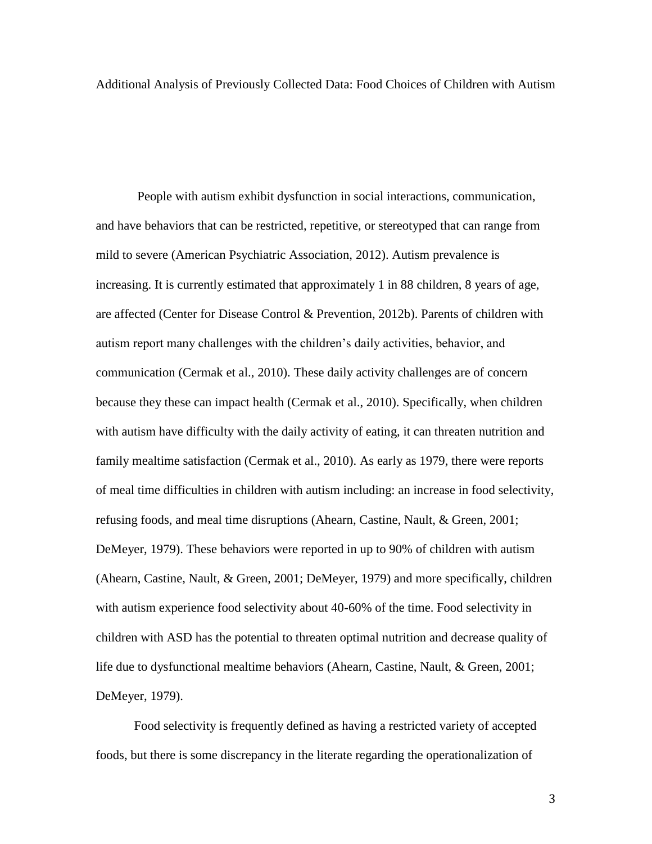Additional Analysis of Previously Collected Data: Food Choices of Children with Autism

People with autism exhibit dysfunction in social interactions, communication, and have behaviors that can be restricted, repetitive, or stereotyped that can range from mild to severe (American Psychiatric Association, 2012). Autism prevalence is increasing. It is currently estimated that approximately 1 in 88 children, 8 years of age, are affected (Center for Disease Control & Prevention, 2012b). Parents of children with autism report many challenges with the children's daily activities, behavior, and communication (Cermak et al., 2010). These daily activity challenges are of concern because they these can impact health (Cermak et al., 2010). Specifically, when children with autism have difficulty with the daily activity of eating, it can threaten nutrition and family mealtime satisfaction (Cermak et al., 2010). As early as 1979, there were reports of meal time difficulties in children with autism including: an increase in food selectivity, refusing foods, and meal time disruptions (Ahearn, Castine, Nault, & Green, 2001; DeMeyer, 1979). These behaviors were reported in up to 90% of children with autism (Ahearn, Castine, Nault, & Green, 2001; DeMeyer, 1979) and more specifically, children with autism experience food selectivity about 40-60% of the time. Food selectivity in children with ASD has the potential to threaten optimal nutrition and decrease quality of life due to dysfunctional mealtime behaviors (Ahearn, Castine, Nault, & Green, 2001; DeMeyer, 1979).

Food selectivity is frequently defined as having a restricted variety of accepted foods, but there is some discrepancy in the literate regarding the operationalization of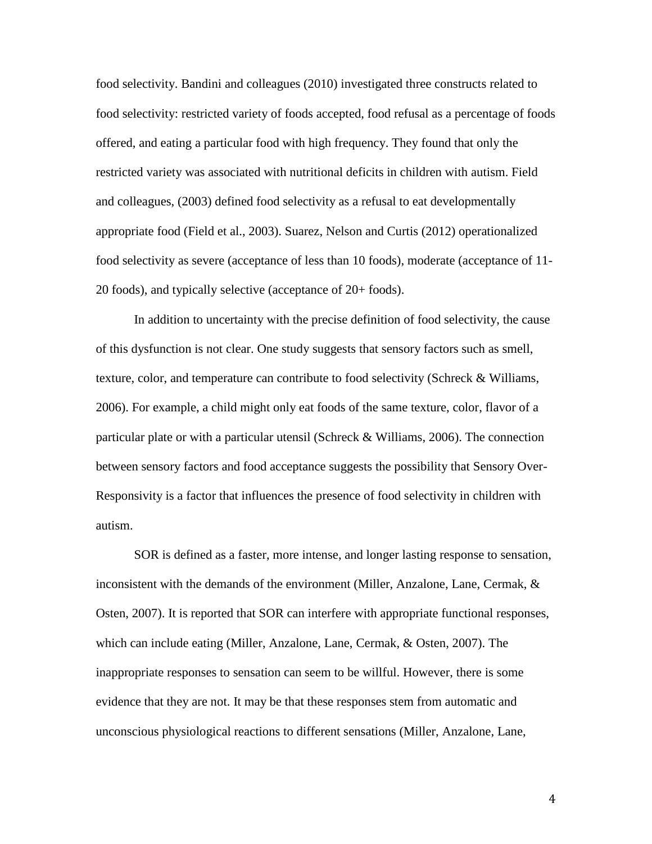food selectivity. Bandini and colleagues (2010) investigated three constructs related to food selectivity: restricted variety of foods accepted, food refusal as a percentage of foods offered, and eating a particular food with high frequency. They found that only the restricted variety was associated with nutritional deficits in children with autism. Field and colleagues, (2003) defined food selectivity as a refusal to eat developmentally appropriate food (Field et al., 2003). Suarez, Nelson and Curtis (2012) operationalized food selectivity as severe (acceptance of less than 10 foods), moderate (acceptance of 11- 20 foods), and typically selective (acceptance of 20+ foods).

In addition to uncertainty with the precise definition of food selectivity, the cause of this dysfunction is not clear. One study suggests that sensory factors such as smell, texture, color, and temperature can contribute to food selectivity (Schreck & Williams, 2006). For example, a child might only eat foods of the same texture, color, flavor of a particular plate or with a particular utensil (Schreck & Williams, 2006). The connection between sensory factors and food acceptance suggests the possibility that Sensory Over-Responsivity is a factor that influences the presence of food selectivity in children with autism.

SOR is defined as a faster, more intense, and longer lasting response to sensation, inconsistent with the demands of the environment (Miller, Anzalone, Lane, Cermak, & Osten, 2007). It is reported that SOR can interfere with appropriate functional responses, which can include eating (Miller, Anzalone, Lane, Cermak, & Osten, 2007). The inappropriate responses to sensation can seem to be willful. However, there is some evidence that they are not. It may be that these responses stem from automatic and unconscious physiological reactions to different sensations (Miller, Anzalone, Lane,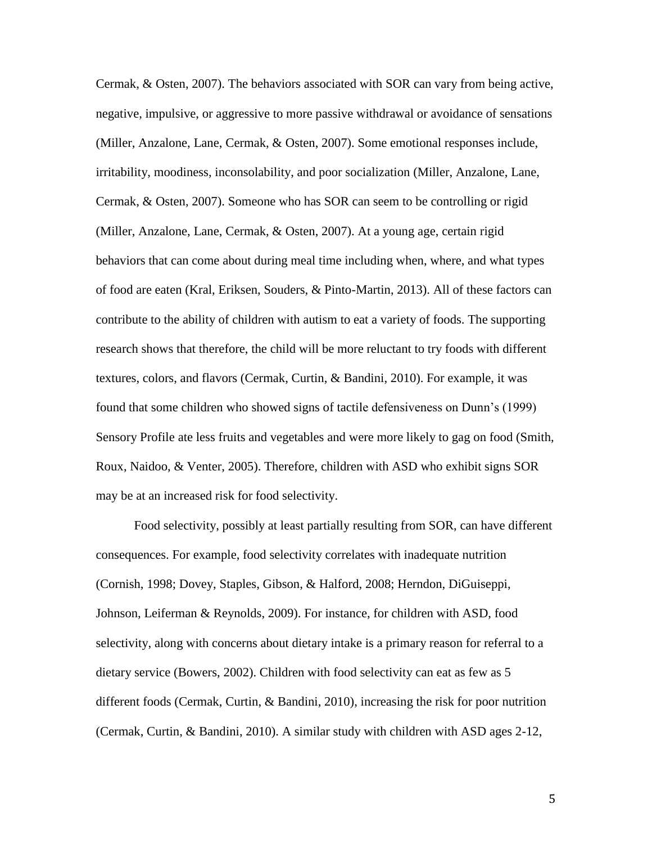Cermak, & Osten, 2007). The behaviors associated with SOR can vary from being active, negative, impulsive, or aggressive to more passive withdrawal or avoidance of sensations (Miller, Anzalone, Lane, Cermak, & Osten, 2007). Some emotional responses include, irritability, moodiness, inconsolability, and poor socialization (Miller, Anzalone, Lane, Cermak, & Osten, 2007). Someone who has SOR can seem to be controlling or rigid (Miller, Anzalone, Lane, Cermak, & Osten, 2007). At a young age, certain rigid behaviors that can come about during meal time including when, where, and what types of food are eaten (Kral, Eriksen, Souders, & Pinto-Martin, 2013). All of these factors can contribute to the ability of children with autism to eat a variety of foods. The supporting research shows that therefore, the child will be more reluctant to try foods with different textures, colors, and flavors (Cermak, Curtin, & Bandini, 2010). For example, it was found that some children who showed signs of tactile defensiveness on Dunn's (1999) Sensory Profile ate less fruits and vegetables and were more likely to gag on food (Smith, Roux, Naidoo, & Venter, 2005). Therefore, children with ASD who exhibit signs SOR may be at an increased risk for food selectivity.

Food selectivity, possibly at least partially resulting from SOR, can have different consequences. For example, food selectivity correlates with inadequate nutrition (Cornish, 1998; Dovey, Staples, Gibson, & Halford, 2008; Herndon, DiGuiseppi, Johnson, Leiferman & Reynolds, 2009). For instance, for children with ASD, food selectivity, along with concerns about dietary intake is a primary reason for referral to a dietary service (Bowers, 2002). Children with food selectivity can eat as few as 5 different foods (Cermak, Curtin, & Bandini, 2010), increasing the risk for poor nutrition (Cermak, Curtin, & Bandini, 2010). A similar study with children with ASD ages 2-12,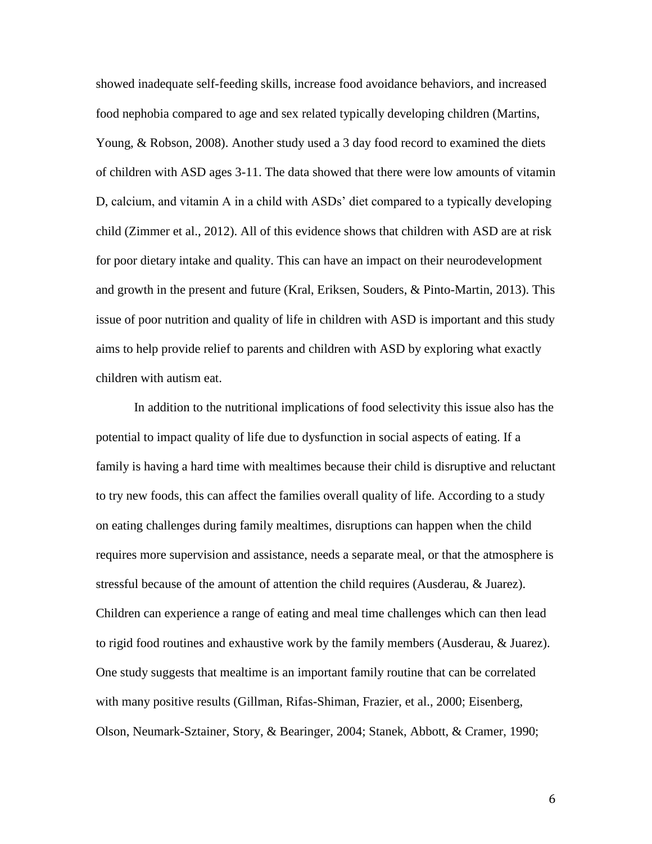showed inadequate self-feeding skills, increase food avoidance behaviors, and increased food nephobia compared to age and sex related typically developing children (Martins, Young, & Robson, 2008). Another study used a 3 day food record to examined the diets of children with ASD ages 3-11. The data showed that there were low amounts of vitamin D, calcium, and vitamin A in a child with ASDs' diet compared to a typically developing child (Zimmer et al., 2012). All of this evidence shows that children with ASD are at risk for poor dietary intake and quality. This can have an impact on their neurodevelopment and growth in the present and future (Kral, Eriksen, Souders, & Pinto-Martin, 2013). This issue of poor nutrition and quality of life in children with ASD is important and this study aims to help provide relief to parents and children with ASD by exploring what exactly children with autism eat.

In addition to the nutritional implications of food selectivity this issue also has the potential to impact quality of life due to dysfunction in social aspects of eating. If a family is having a hard time with mealtimes because their child is disruptive and reluctant to try new foods, this can affect the families overall quality of life. According to a study on eating challenges during family mealtimes, disruptions can happen when the child requires more supervision and assistance, needs a separate meal, or that the atmosphere is stressful because of the amount of attention the child requires (Ausderau, & Juarez). Children can experience a range of eating and meal time challenges which can then lead to rigid food routines and exhaustive work by the family members (Ausderau, & Juarez). One study suggests that mealtime is an important family routine that can be correlated with many positive results (Gillman, Rifas-Shiman, Frazier, et al., 2000; Eisenberg, Olson, Neumark-Sztainer, Story, & Bearinger, 2004; Stanek, Abbott, & Cramer, 1990;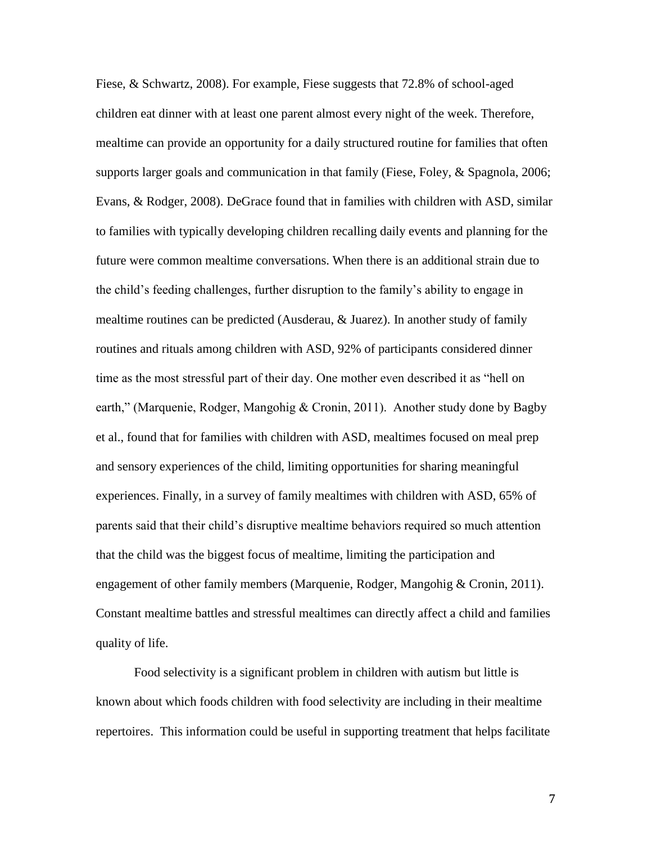Fiese, & Schwartz, 2008). For example, Fiese suggests that 72.8% of school-aged children eat dinner with at least one parent almost every night of the week. Therefore, mealtime can provide an opportunity for a daily structured routine for families that often supports larger goals and communication in that family (Fiese, Foley, & Spagnola, 2006; Evans, & Rodger, 2008). DeGrace found that in families with children with ASD, similar to families with typically developing children recalling daily events and planning for the future were common mealtime conversations. When there is an additional strain due to the child's feeding challenges, further disruption to the family's ability to engage in mealtime routines can be predicted (Ausderau, & Juarez). In another study of family routines and rituals among children with ASD, 92% of participants considered dinner time as the most stressful part of their day. One mother even described it as "hell on earth," (Marquenie, Rodger, Mangohig & Cronin, 2011). Another study done by Bagby et al., found that for families with children with ASD, mealtimes focused on meal prep and sensory experiences of the child, limiting opportunities for sharing meaningful experiences. Finally, in a survey of family mealtimes with children with ASD, 65% of parents said that their child's disruptive mealtime behaviors required so much attention that the child was the biggest focus of mealtime, limiting the participation and engagement of other family members (Marquenie, Rodger, Mangohig & Cronin, 2011). Constant mealtime battles and stressful mealtimes can directly affect a child and families quality of life.

Food selectivity is a significant problem in children with autism but little is known about which foods children with food selectivity are including in their mealtime repertoires. This information could be useful in supporting treatment that helps facilitate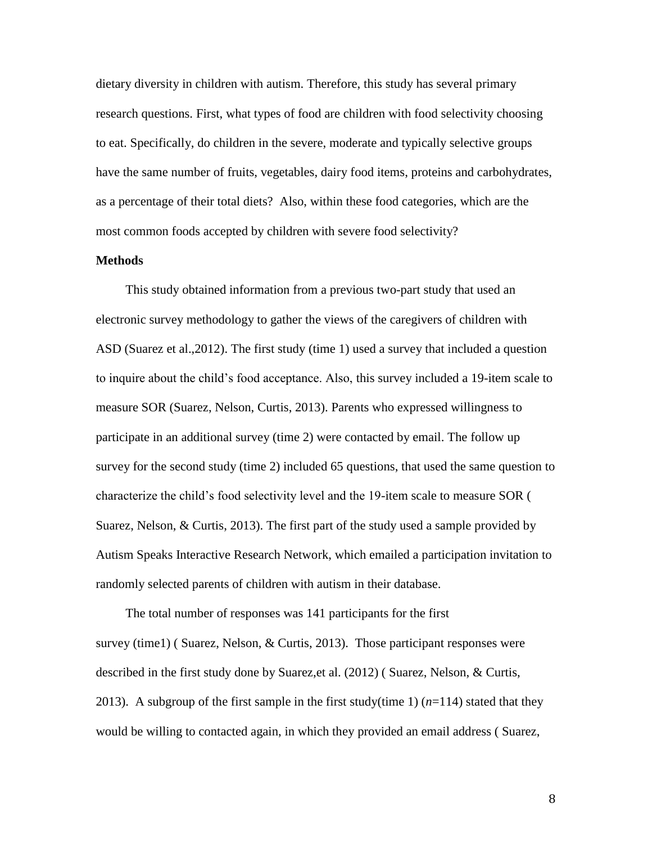dietary diversity in children with autism. Therefore, this study has several primary research questions. First, what types of food are children with food selectivity choosing to eat. Specifically, do children in the severe, moderate and typically selective groups have the same number of fruits, vegetables, dairy food items, proteins and carbohydrates, as a percentage of their total diets? Also, within these food categories, which are the most common foods accepted by children with severe food selectivity?

#### **Methods**

This study obtained information from a previous two-part study that used an electronic survey methodology to gather the views of the caregivers of children with ASD (Suarez et al.,2012). The first study (time 1) used a survey that included a question to inquire about the child's food acceptance. Also, this survey included a 19-item scale to measure SOR (Suarez, Nelson, Curtis, 2013). Parents who expressed willingness to participate in an additional survey (time 2) were contacted by email. The follow up survey for the second study (time 2) included 65 questions, that used the same question to characterize the child's food selectivity level and the 19-item scale to measure SOR ( Suarez, Nelson, & Curtis, 2013). The first part of the study used a sample provided by Autism Speaks Interactive Research Network, which emailed a participation invitation to randomly selected parents of children with autism in their database.

The total number of responses was 141 participants for the first survey (time1) ( Suarez, Nelson, & Curtis, 2013). Those participant responses were described in the first study done by Suarez, et al. (2012) (Suarez, Nelson, & Curtis, 2013). A subgroup of the first sample in the first study(time 1)  $(n=114)$  stated that they would be willing to contacted again, in which they provided an email address ( Suarez,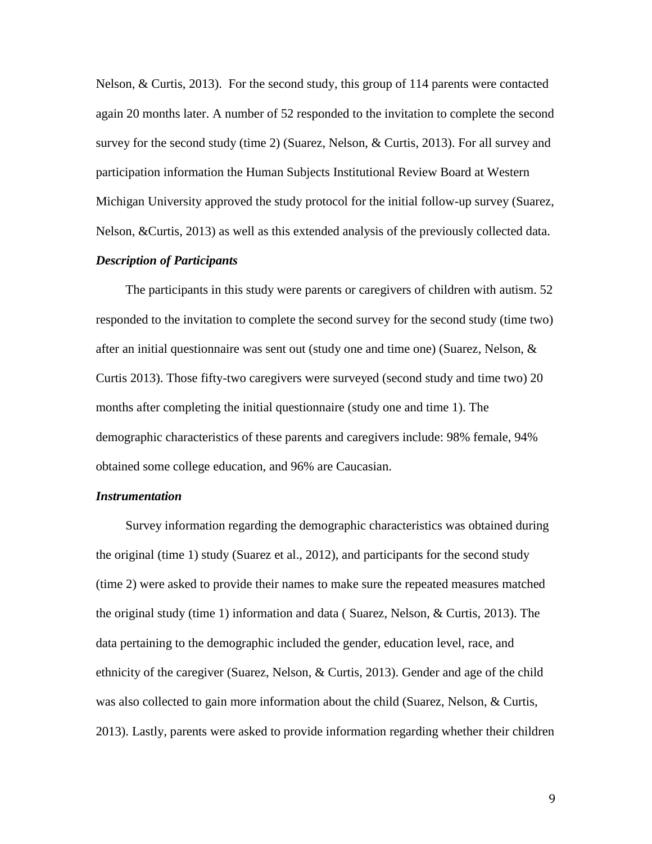Nelson, & Curtis, 2013). For the second study, this group of 114 parents were contacted again 20 months later. A number of 52 responded to the invitation to complete the second survey for the second study (time 2) (Suarez, Nelson, & Curtis, 2013). For all survey and participation information the Human Subjects Institutional Review Board at Western Michigan University approved the study protocol for the initial follow-up survey (Suarez, Nelson, &Curtis, 2013) as well as this extended analysis of the previously collected data.

### *Description of Participants*

The participants in this study were parents or caregivers of children with autism. 52 responded to the invitation to complete the second survey for the second study (time two) after an initial questionnaire was sent out (study one and time one) (Suarez, Nelson,  $\&$ Curtis 2013). Those fifty-two caregivers were surveyed (second study and time two) 20 months after completing the initial questionnaire (study one and time 1). The demographic characteristics of these parents and caregivers include: 98% female, 94% obtained some college education, and 96% are Caucasian.

#### *Instrumentation*

Survey information regarding the demographic characteristics was obtained during the original (time 1) study (Suarez et al., 2012), and participants for the second study (time 2) were asked to provide their names to make sure the repeated measures matched the original study (time 1) information and data ( Suarez, Nelson, & Curtis, 2013). The data pertaining to the demographic included the gender, education level, race, and ethnicity of the caregiver (Suarez, Nelson, & Curtis, 2013). Gender and age of the child was also collected to gain more information about the child (Suarez, Nelson, & Curtis, 2013). Lastly, parents were asked to provide information regarding whether their children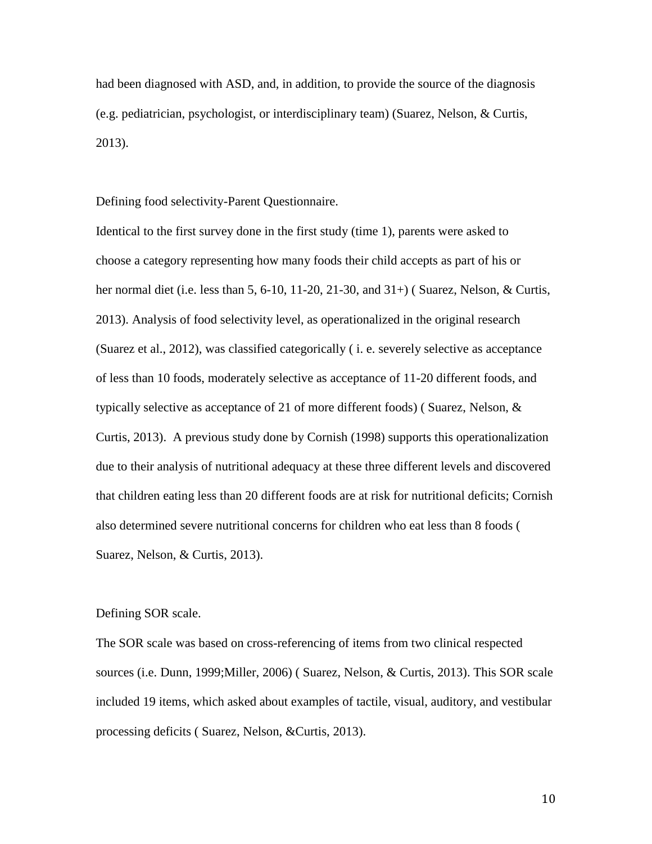had been diagnosed with ASD, and, in addition, to provide the source of the diagnosis (e.g. pediatrician, psychologist, or interdisciplinary team) (Suarez, Nelson, & Curtis, 2013).

Defining food selectivity-Parent Questionnaire.

Identical to the first survey done in the first study (time 1), parents were asked to choose a category representing how many foods their child accepts as part of his or her normal diet (i.e. less than 5, 6-10, 11-20, 21-30, and 31+) ( Suarez, Nelson, & Curtis, 2013). Analysis of food selectivity level, as operationalized in the original research (Suarez et al., 2012), was classified categorically ( i. e. severely selective as acceptance of less than 10 foods, moderately selective as acceptance of 11-20 different foods, and typically selective as acceptance of 21 of more different foods) ( Suarez, Nelson, & Curtis, 2013). A previous study done by Cornish (1998) supports this operationalization due to their analysis of nutritional adequacy at these three different levels and discovered that children eating less than 20 different foods are at risk for nutritional deficits; Cornish also determined severe nutritional concerns for children who eat less than 8 foods ( Suarez, Nelson, & Curtis, 2013).

#### Defining SOR scale.

The SOR scale was based on cross-referencing of items from two clinical respected sources (i.e. Dunn, 1999;Miller, 2006) ( Suarez, Nelson, & Curtis, 2013). This SOR scale included 19 items, which asked about examples of tactile, visual, auditory, and vestibular processing deficits ( Suarez, Nelson, &Curtis, 2013).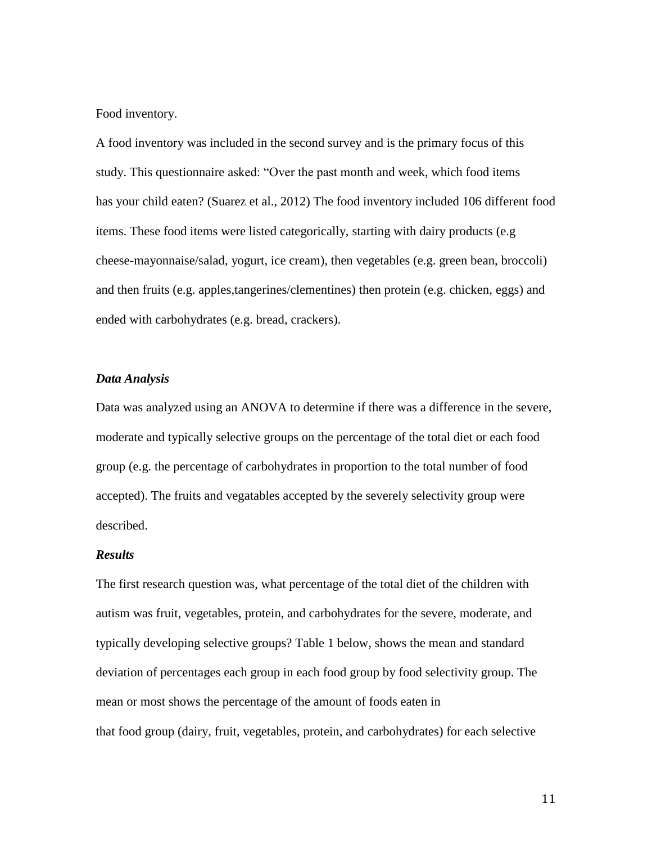Food inventory.

A food inventory was included in the second survey and is the primary focus of this study. This questionnaire asked: "Over the past month and week, which food items has your child eaten? (Suarez et al., 2012) The food inventory included 106 different food items. These food items were listed categorically, starting with dairy products (e.g cheese-mayonnaise/salad, yogurt, ice cream), then vegetables (e.g. green bean, broccoli) and then fruits (e.g. apples,tangerines/clementines) then protein (e.g. chicken, eggs) and ended with carbohydrates (e.g. bread, crackers).

#### *Data Analysis*

Data was analyzed using an ANOVA to determine if there was a difference in the severe, moderate and typically selective groups on the percentage of the total diet or each food group (e.g. the percentage of carbohydrates in proportion to the total number of food accepted). The fruits and vegatables accepted by the severely selectivity group were described.

#### *Results*

The first research question was, what percentage of the total diet of the children with autism was fruit, vegetables, protein, and carbohydrates for the severe, moderate, and typically developing selective groups? Table 1 below, shows the mean and standard deviation of percentages each group in each food group by food selectivity group. The mean or most shows the percentage of the amount of foods eaten in that food group (dairy, fruit, vegetables, protein, and carbohydrates) for each selective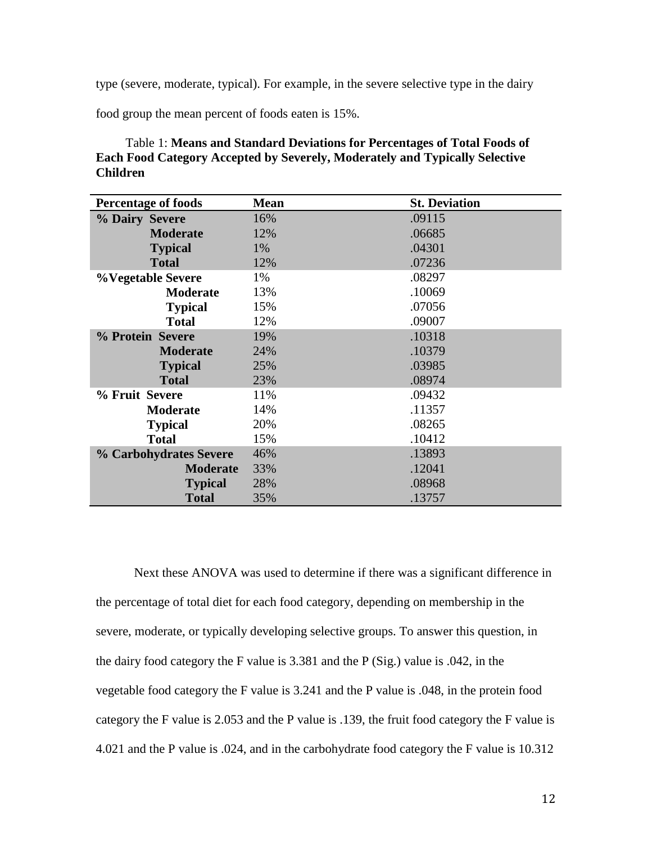type (severe, moderate, typical). For example, in the severe selective type in the dairy

food group the mean percent of foods eaten is 15%.

## Table 1: **Means and Standard Deviations for Percentages of Total Foods of Each Food Category Accepted by Severely, Moderately and Typically Selective Children**

| <b>Percentage of foods</b> | <b>Mean</b> | <b>St. Deviation</b> |
|----------------------------|-------------|----------------------|
| <b>% Dairy Severe</b>      | 16%         | .09115               |
| <b>Moderate</b>            | 12%         | .06685               |
| <b>Typical</b>             | 1%          | .04301               |
| <b>Total</b>               | 12%         | .07236               |
| %Vegetable Severe          | 1%          | .08297               |
| <b>Moderate</b>            | 13%         | .10069               |
| <b>Typical</b>             | 15%         | .07056               |
| <b>Total</b>               | 12%         | .09007               |
| % Protein Severe           | 19%         | .10318               |
| <b>Moderate</b>            | 24%         | .10379               |
| <b>Typical</b>             | 25%         | .03985               |
| <b>Total</b>               | 23%         | .08974               |
| % Fruit Severe             | 11%         | .09432               |
| <b>Moderate</b>            | 14%         | .11357               |
| <b>Typical</b>             | 20%         | .08265               |
| <b>Total</b>               | 15%         | .10412               |
| % Carbohydrates Severe     | 46%         | .13893               |
| <b>Moderate</b>            | 33%         | .12041               |
| <b>Typical</b>             | 28%         | .08968               |
| <b>Total</b>               | 35%         | .13757               |

Next these ANOVA was used to determine if there was a significant difference in the percentage of total diet for each food category, depending on membership in the severe, moderate, or typically developing selective groups. To answer this question, in the dairy food category the F value is 3.381 and the P (Sig.) value is .042, in the vegetable food category the F value is 3.241 and the P value is .048, in the protein food category the F value is 2.053 and the P value is .139, the fruit food category the F value is 4.021 and the P value is .024, and in the carbohydrate food category the F value is 10.312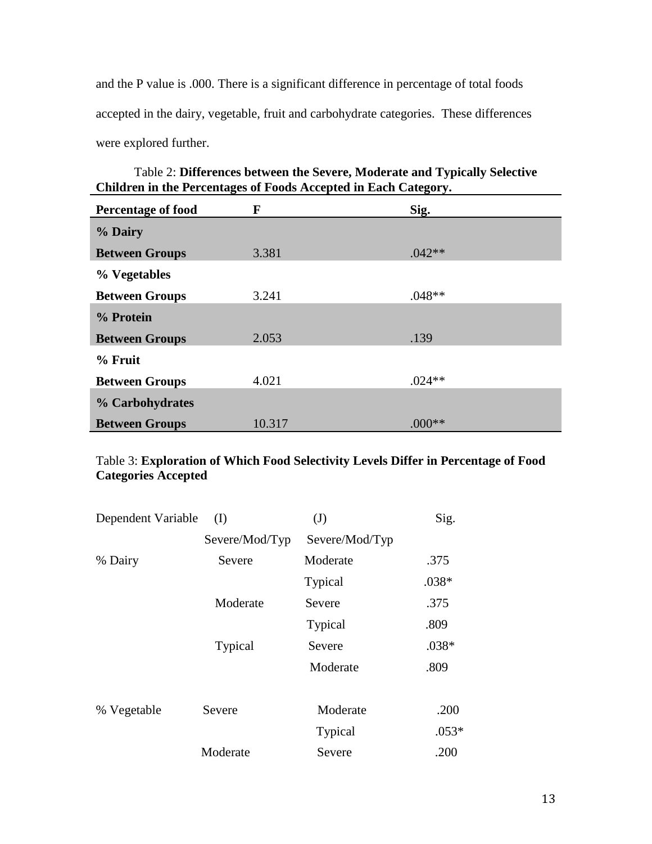and the P value is .000. There is a significant difference in percentage of total foods accepted in the dairy, vegetable, fruit and carbohydrate categories. These differences were explored further.

| Table 2: Differences between the Severe, Moderate and Typically Selective |  |
|---------------------------------------------------------------------------|--|
| Children in the Percentages of Foods Accepted in Each Category.           |  |

| <b>Percentage of food</b> | F      | Sig.     |
|---------------------------|--------|----------|
| % Dairy                   |        |          |
| <b>Between Groups</b>     | 3.381  | $.042**$ |
| % Vegetables              |        |          |
| <b>Between Groups</b>     | 3.241  | $.048**$ |
| % Protein                 |        |          |
| <b>Between Groups</b>     | 2.053  | .139     |
| % Fruit                   |        |          |
| <b>Between Groups</b>     | 4.021  | $.024**$ |
| % Carbohydrates           |        |          |
| <b>Between Groups</b>     | 10.317 | $.000**$ |

## Table 3: **Exploration of Which Food Selectivity Levels Differ in Percentage of Food Categories Accepted**

| (I)            | $\mathrm{(J)}$ | Sig.    |
|----------------|----------------|---------|
| Severe/Mod/Typ | Severe/Mod/Typ |         |
| Severe         | Moderate       | .375    |
|                | Typical        | $.038*$ |
| Moderate       | Severe         | .375    |
|                | Typical        | .809    |
| Typical        | Severe         | .038*   |
|                | Moderate       | .809    |
| Severe         | Moderate       | .200    |
|                | <b>Typical</b> | $.053*$ |
| Moderate       | Severe         | .200    |
|                |                |         |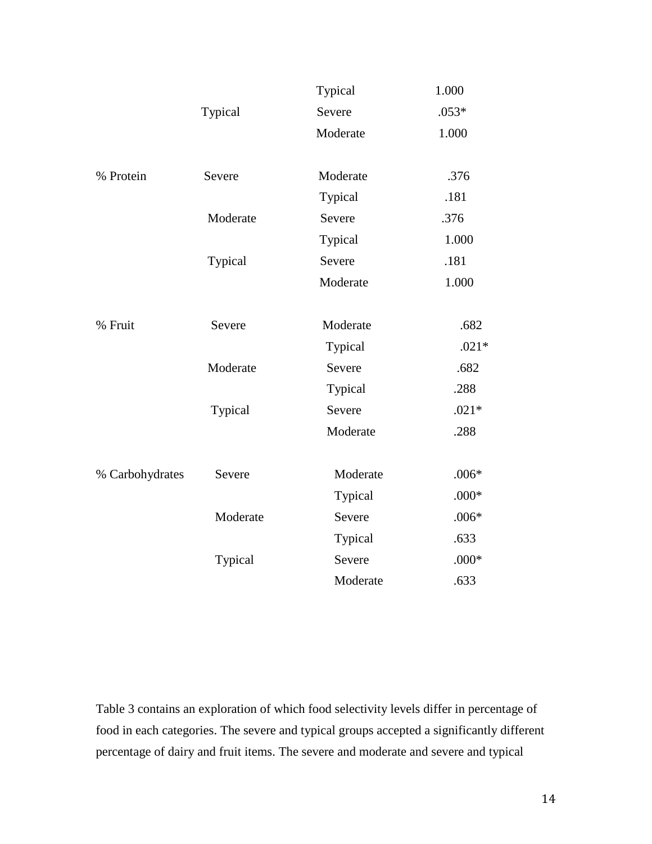|                 |          | Typical  | 1.000   |
|-----------------|----------|----------|---------|
|                 | Typical  | Severe   | $.053*$ |
|                 |          | Moderate | 1.000   |
| % Protein       | Severe   | Moderate | .376    |
|                 |          | Typical  | .181    |
|                 | Moderate | Severe   | .376    |
|                 |          | Typical  | 1.000   |
|                 | Typical  | Severe   | .181    |
|                 |          | Moderate | 1.000   |
| % Fruit         | Severe   | Moderate | .682    |
|                 |          | Typical  | $.021*$ |
|                 | Moderate | Severe   | .682    |
|                 |          | Typical  | .288    |
|                 | Typical  | Severe   | $.021*$ |
|                 |          | Moderate | .288    |
| % Carbohydrates | Severe   | Moderate | $.006*$ |
|                 |          | Typical  | $.000*$ |
|                 | Moderate | Severe   | $.006*$ |
|                 |          | Typical  | .633    |
|                 | Typical  | Severe   | $.000*$ |
|                 |          | Moderate | .633    |

Table 3 contains an exploration of which food selectivity levels differ in percentage of food in each categories. The severe and typical groups accepted a significantly different percentage of dairy and fruit items. The severe and moderate and severe and typical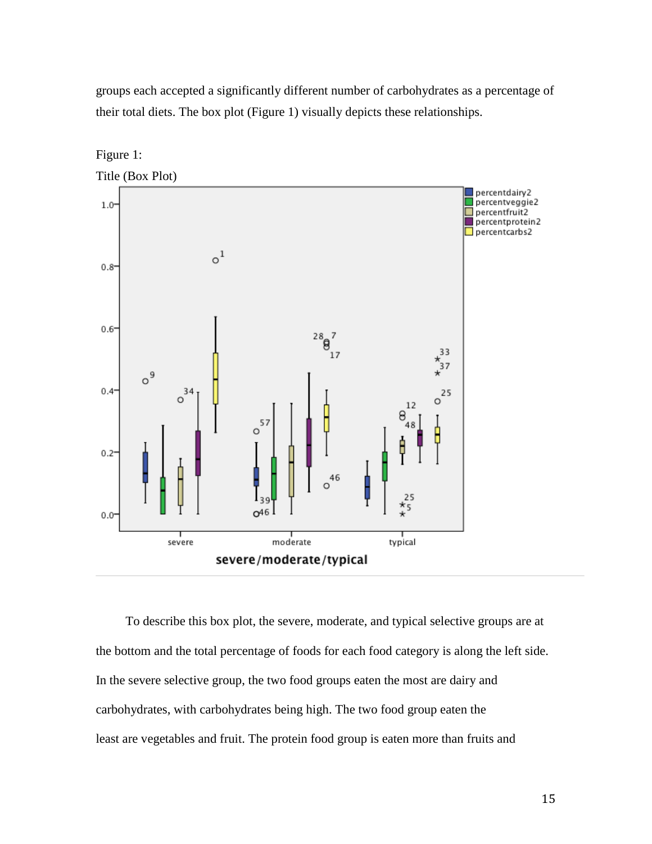groups each accepted a significantly different number of carbohydrates as a percentage of their total diets. The box plot (Figure 1) visually depicts these relationships.



To describe this box plot, the severe, moderate, and typical selective groups are at the bottom and the total percentage of foods for each food category is along the left side. In the severe selective group, the two food groups eaten the most are dairy and carbohydrates, with carbohydrates being high. The two food group eaten the least are vegetables and fruit. The protein food group is eaten more than fruits and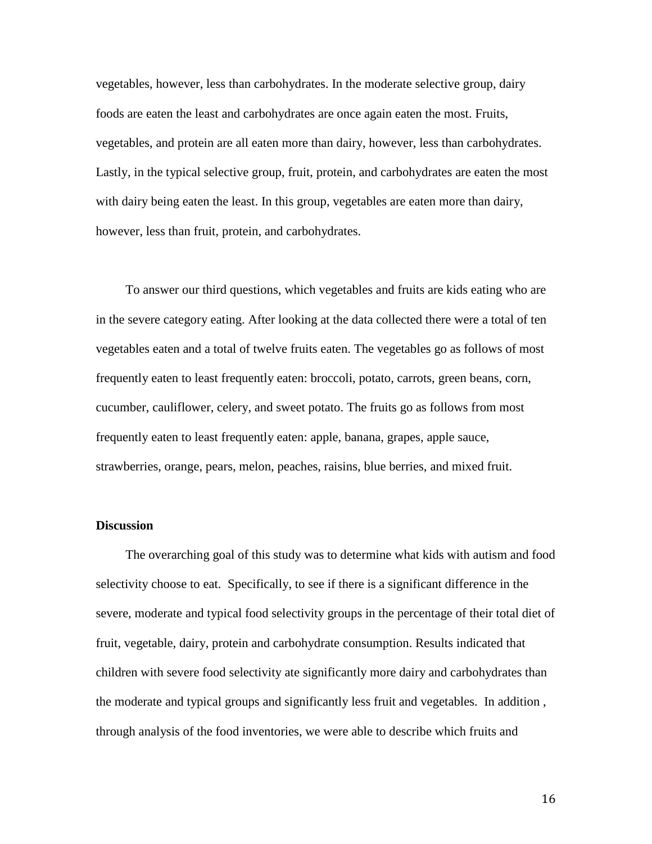vegetables, however, less than carbohydrates. In the moderate selective group, dairy foods are eaten the least and carbohydrates are once again eaten the most. Fruits, vegetables, and protein are all eaten more than dairy, however, less than carbohydrates. Lastly, in the typical selective group, fruit, protein, and carbohydrates are eaten the most with dairy being eaten the least. In this group, vegetables are eaten more than dairy, however, less than fruit, protein, and carbohydrates.

To answer our third questions, which vegetables and fruits are kids eating who are in the severe category eating. After looking at the data collected there were a total of ten vegetables eaten and a total of twelve fruits eaten. The vegetables go as follows of most frequently eaten to least frequently eaten: broccoli, potato, carrots, green beans, corn, cucumber, cauliflower, celery, and sweet potato. The fruits go as follows from most frequently eaten to least frequently eaten: apple, banana, grapes, apple sauce, strawberries, orange, pears, melon, peaches, raisins, blue berries, and mixed fruit.

#### **Discussion**

The overarching goal of this study was to determine what kids with autism and food selectivity choose to eat. Specifically, to see if there is a significant difference in the severe, moderate and typical food selectivity groups in the percentage of their total diet of fruit, vegetable, dairy, protein and carbohydrate consumption. Results indicated that children with severe food selectivity ate significantly more dairy and carbohydrates than the moderate and typical groups and significantly less fruit and vegetables. In addition , through analysis of the food inventories, we were able to describe which fruits and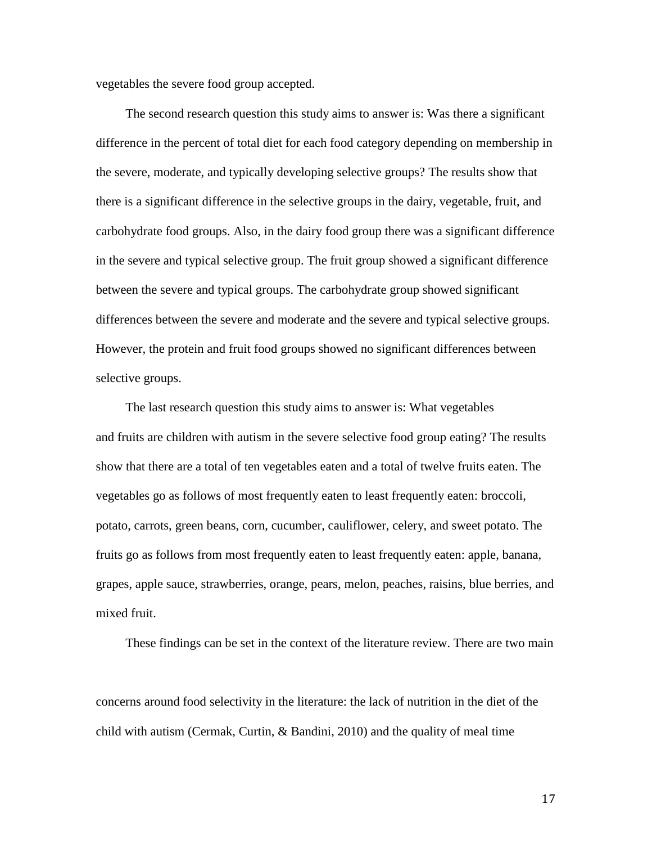vegetables the severe food group accepted.

The second research question this study aims to answer is: Was there a significant difference in the percent of total diet for each food category depending on membership in the severe, moderate, and typically developing selective groups? The results show that there is a significant difference in the selective groups in the dairy, vegetable, fruit, and carbohydrate food groups. Also, in the dairy food group there was a significant difference in the severe and typical selective group. The fruit group showed a significant difference between the severe and typical groups. The carbohydrate group showed significant differences between the severe and moderate and the severe and typical selective groups. However, the protein and fruit food groups showed no significant differences between selective groups.

The last research question this study aims to answer is: What vegetables and fruits are children with autism in the severe selective food group eating? The results show that there are a total of ten vegetables eaten and a total of twelve fruits eaten. The vegetables go as follows of most frequently eaten to least frequently eaten: broccoli, potato, carrots, green beans, corn, cucumber, cauliflower, celery, and sweet potato. The fruits go as follows from most frequently eaten to least frequently eaten: apple, banana, grapes, apple sauce, strawberries, orange, pears, melon, peaches, raisins, blue berries, and mixed fruit.

These findings can be set in the context of the literature review. There are two main

concerns around food selectivity in the literature: the lack of nutrition in the diet of the child with autism (Cermak, Curtin, & Bandini, 2010) and the quality of meal time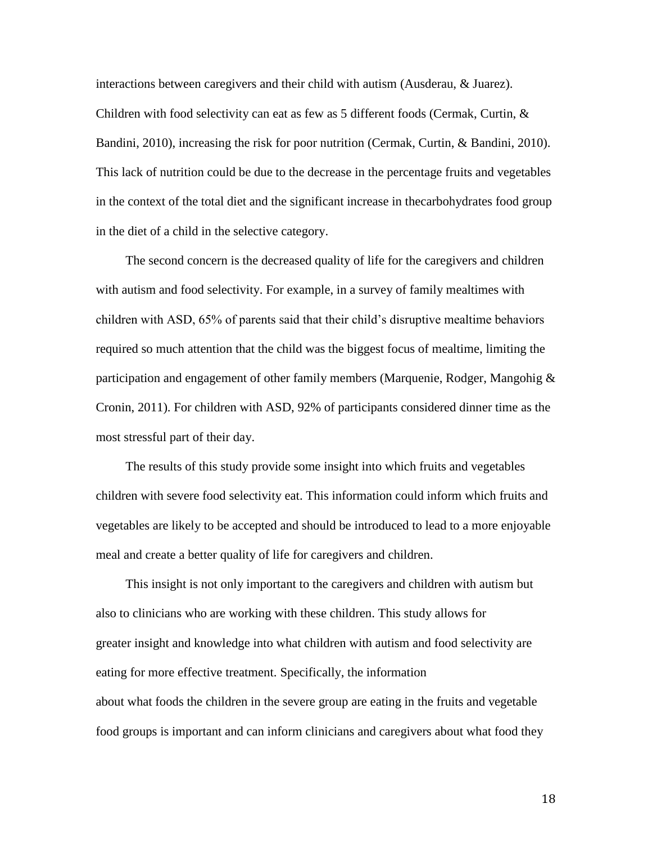interactions between caregivers and their child with autism (Ausderau, & Juarez). Children with food selectivity can eat as few as 5 different foods (Cermak, Curtin, & Bandini, 2010), increasing the risk for poor nutrition (Cermak, Curtin, & Bandini, 2010). This lack of nutrition could be due to the decrease in the percentage fruits and vegetables in the context of the total diet and the significant increase in thecarbohydrates food group in the diet of a child in the selective category.

The second concern is the decreased quality of life for the caregivers and children with autism and food selectivity. For example, in a survey of family mealtimes with children with ASD, 65% of parents said that their child's disruptive mealtime behaviors required so much attention that the child was the biggest focus of mealtime, limiting the participation and engagement of other family members (Marquenie, Rodger, Mangohig & Cronin, 2011). For children with ASD, 92% of participants considered dinner time as the most stressful part of their day.

The results of this study provide some insight into which fruits and vegetables children with severe food selectivity eat. This information could inform which fruits and vegetables are likely to be accepted and should be introduced to lead to a more enjoyable meal and create a better quality of life for caregivers and children.

This insight is not only important to the caregivers and children with autism but also to clinicians who are working with these children. This study allows for greater insight and knowledge into what children with autism and food selectivity are eating for more effective treatment. Specifically, the information about what foods the children in the severe group are eating in the fruits and vegetable food groups is important and can inform clinicians and caregivers about what food they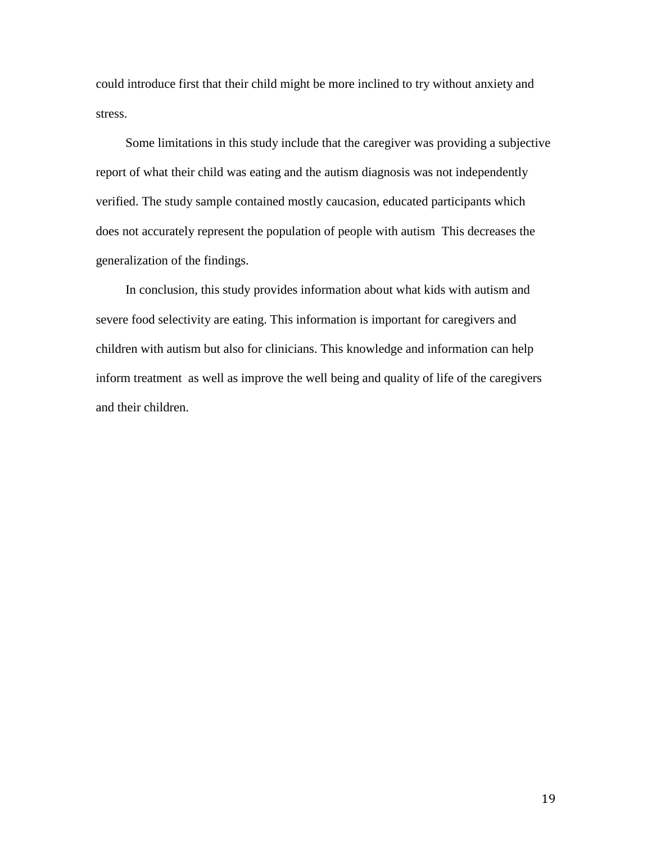could introduce first that their child might be more inclined to try without anxiety and stress.

Some limitations in this study include that the caregiver was providing a subjective report of what their child was eating and the autism diagnosis was not independently verified. The study sample contained mostly caucasion, educated participants which does not accurately represent the population of people with autism This decreases the generalization of the findings.

In conclusion, this study provides information about what kids with autism and severe food selectivity are eating. This information is important for caregivers and children with autism but also for clinicians. This knowledge and information can help inform treatment as well as improve the well being and quality of life of the caregivers and their children.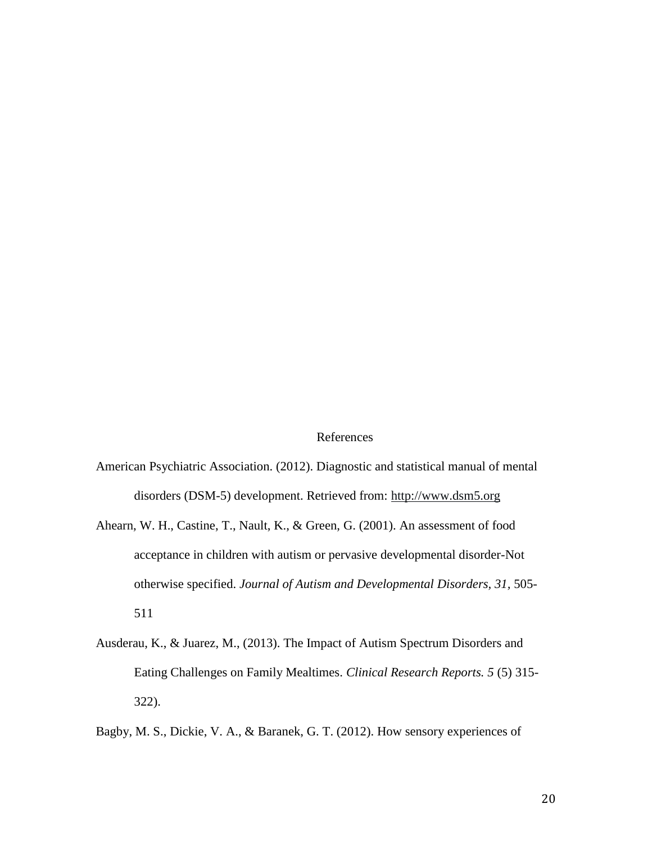#### References

- American Psychiatric Association. (2012). Diagnostic and statistical manual of mental disorders (DSM-5) development. Retrieved from: [http://www.dsm5.org](http://www.dsm5.org/)
- Ahearn, W. H., Castine, T., Nault, K., & Green, G. (2001). An assessment of food acceptance in children with autism or pervasive developmental disorder-Not otherwise specified. *Journal of Autism and Developmental Disorders, 31,* 505- 511
- Ausderau, K., & Juarez, M., (2013). The Impact of Autism Spectrum Disorders and Eating Challenges on Family Mealtimes. *Clinical Research Reports. 5* (5) 315- 322).

Bagby, M. S., Dickie, V. A., & Baranek, G. T. (2012). How sensory experiences of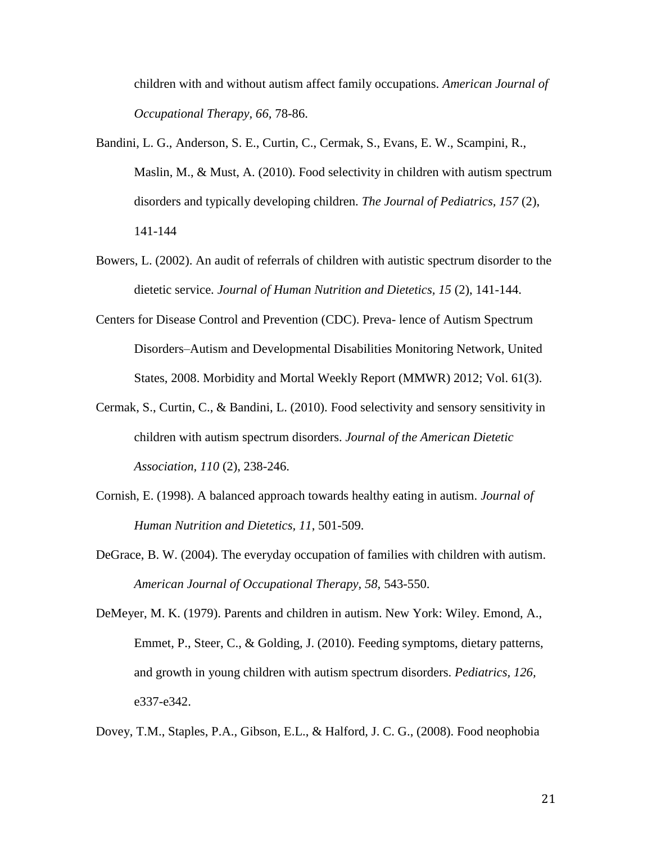children with and without autism affect family occupations. *American Journal of Occupational Therapy, 66,* 78-86.

- Bandini, L. G., Anderson, S. E., Curtin, C., Cermak, S., Evans, E. W., Scampini, R., Maslin, M., & Must, A. (2010). Food selectivity in children with autism spectrum disorders and typically developing children. *The Journal of Pediatrics, 157* (2), 141-144
- Bowers, L. (2002). An audit of referrals of children with autistic spectrum disorder to the dietetic service. *Journal of Human Nutrition and Dietetics, 15* (2), 141-144.
- Centers for Disease Control and Prevention (CDC). Preva- lence of Autism Spectrum Disorders–Autism and Developmental Disabilities Monitoring Network, United States, 2008. Morbidity and Mortal Weekly Report (MMWR) 2012; Vol. 61(3).
- Cermak, S., Curtin, C., & Bandini, L. (2010). Food selectivity and sensory sensitivity in children with autism spectrum disorders. *Journal of the American Dietetic Association, 110* (2), 238-246.
- Cornish, E. (1998). A balanced approach towards healthy eating in autism. *Journal of Human Nutrition and Dietetics, 11*, 501-509.
- DeGrace, B. W. (2004). The everyday occupation of families with children with autism. *American Journal of Occupational Therapy, 58,* 543-550.

DeMeyer, M. K. (1979). Parents and children in autism. New York: Wiley. Emond, A., Emmet, P., Steer, C., & Golding, J. (2010). Feeding symptoms, dietary patterns, and growth in young children with autism spectrum disorders. *Pediatrics, 126,*  e337-e342.

Dovey, T.M., Staples, P.A., Gibson, E.L., & Halford, J. C. G., (2008). Food neophobia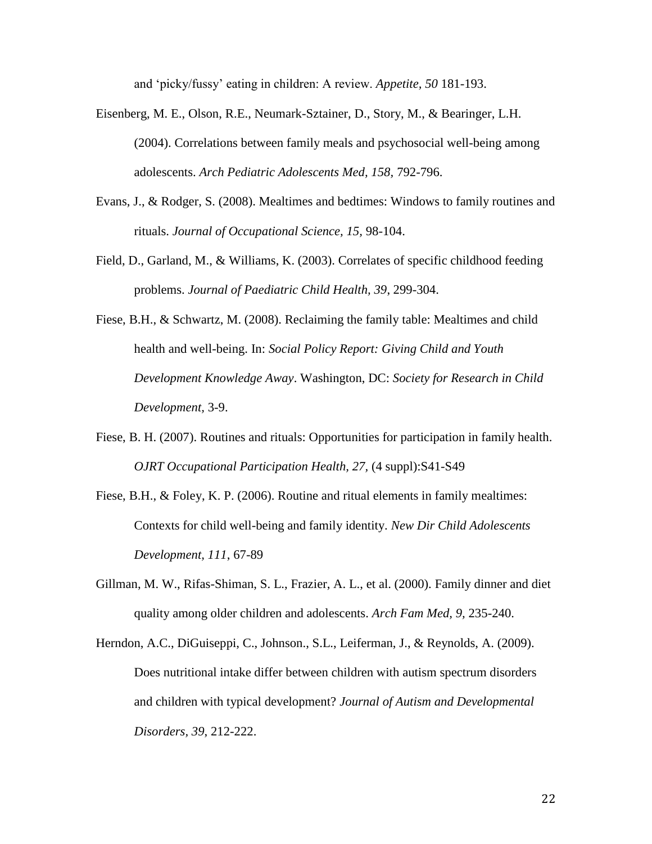and 'picky/fussy' eating in children: A review. *Appetite, 50* 181-193.

- Eisenberg, M. E., Olson, R.E., Neumark-Sztainer, D., Story, M., & Bearinger, L.H. (2004). Correlations between family meals and psychosocial well-being among adolescents. *Arch Pediatric Adolescents Med, 158,* 792-796.
- Evans, J., & Rodger, S. (2008). Mealtimes and bedtimes: Windows to family routines and rituals. *Journal of Occupational Science, 15,* 98-104.
- Field, D., Garland, M., & Williams, K. (2003). Correlates of specific childhood feeding problems. *Journal of Paediatric Child Health, 39*, 299-304.
- Fiese, B.H., & Schwartz, M. (2008). Reclaiming the family table: Mealtimes and child health and well-being. In: *Social Policy Report: Giving Child and Youth Development Knowledge Away*. Washington, DC: *Society for Research in Child Development,* 3-9.
- Fiese, B. H. (2007). Routines and rituals: Opportunities for participation in family health. *OJRT Occupational Participation Health, 27,* (4 suppl):S41-S49
- Fiese, B.H., & Foley, K. P. (2006). Routine and ritual elements in family mealtimes: Contexts for child well-being and family identity. *New Dir Child Adolescents Development, 111*, 67-89
- Gillman, M. W., Rifas-Shiman, S. L., Frazier, A. L., et al. (2000). Family dinner and diet quality among older children and adolescents. *Arch Fam Med, 9,* 235-240.
- Herndon, A.C., DiGuiseppi, C., Johnson., S.L., Leiferman, J., & Reynolds, A. (2009). Does nutritional intake differ between children with autism spectrum disorders and children with typical development? *Journal of Autism and Developmental Disorders, 39*, 212-222.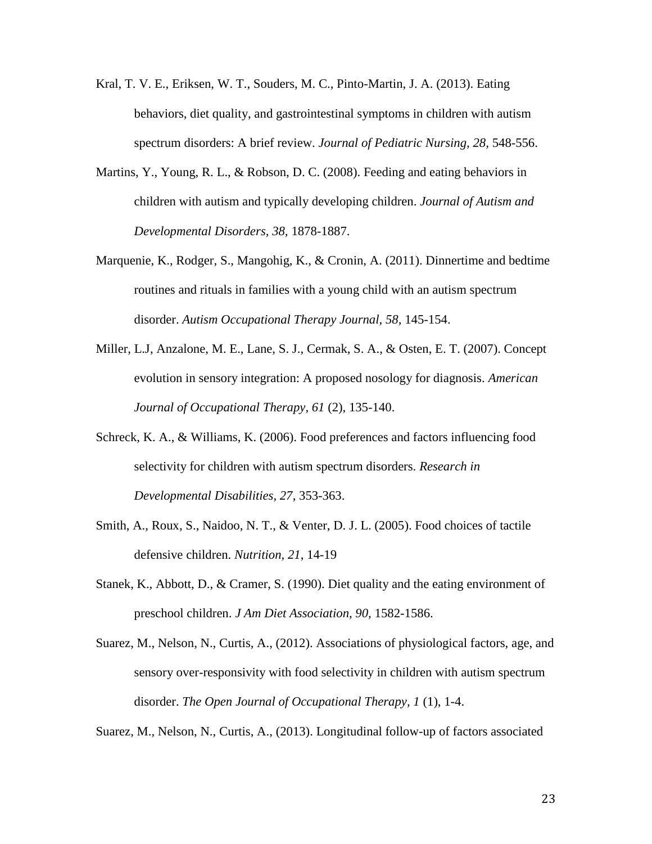- Kral, T. V. E., Eriksen, W. T., Souders, M. C., Pinto-Martin, J. A. (2013). Eating behaviors, diet quality, and gastrointestinal symptoms in children with autism spectrum disorders: A brief review. *Journal of Pediatric Nursing, 28,* 548-556.
- Martins, Y., Young, R. L., & Robson, D. C. (2008). Feeding and eating behaviors in children with autism and typically developing children. *Journal of Autism and Developmental Disorders, 38,* 1878-1887.
- Marquenie, K., Rodger, S., Mangohig, K., & Cronin, A. (2011). Dinnertime and bedtime routines and rituals in families with a young child with an autism spectrum disorder. *Autism Occupational Therapy Journal, 58,* 145-154.
- Miller, L.J, Anzalone, M. E., Lane, S. J., Cermak, S. A., & Osten, E. T. (2007). Concept evolution in sensory integration: A proposed nosology for diagnosis. *American Journal of Occupational Therapy, 61* (2), 135-140.
- Schreck, K. A., & Williams, K. (2006). Food preferences and factors influencing food selectivity for children with autism spectrum disorders. *Research in Developmental Disabilities, 27*, 353-363.
- Smith, A., Roux, S., Naidoo, N. T., & Venter, D. J. L. (2005). Food choices of tactile defensive children. *Nutrition, 21*, 14-19
- Stanek, K., Abbott, D., & Cramer, S. (1990). Diet quality and the eating environment of preschool children. *J Am Diet Association, 90,* 1582-1586.
- Suarez, M., Nelson, N., Curtis, A., (2012). Associations of physiological factors, age, and sensory over-responsivity with food selectivity in children with autism spectrum disorder. *The Open Journal of Occupational Therapy, 1* (1), 1-4.

Suarez, M., Nelson, N., Curtis, A., (2013). Longitudinal follow-up of factors associated